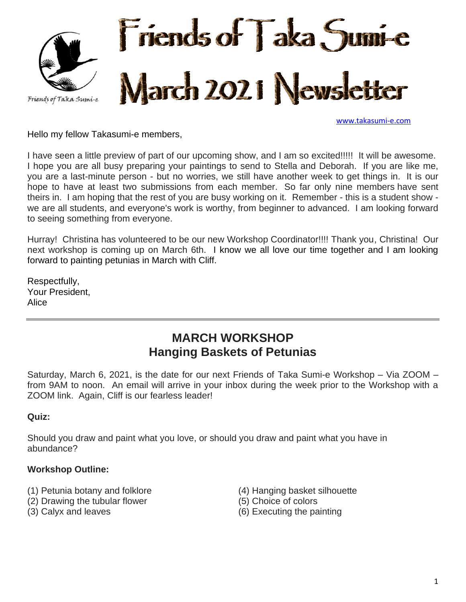

[www.takasumi-e.com](http://www.takasumi-e.com/)

Hello my fellow Takasumi-e members,

I have seen a little preview of part of our upcoming show, and I am so excited!!!!! It will be awesome. I hope you are all busy preparing your paintings to send to Stella and Deborah. If you are like me, you are a last-minute person - but no worries, we still have another week to get things in. It is our hope to have at least two submissions from each member. So far only nine members have sent theirs in. I am hoping that the rest of you are busy working on it. Remember - this is a student show we are all students, and everyone's work is worthy, from beginner to advanced. I am looking forward to seeing something from everyone.

Hurray! Christina has volunteered to be our new Workshop Coordinator!!!! Thank you, Christina! Our next workshop is coming up on March 6th. I know we all love our time together and I am looking forward to painting petunias in March with Cliff.

Respectfully, Your President, Alice

# **MARCH WORKSHOP Hanging Baskets of Petunias**

Saturday, March 6, 2021, is the date for our next Friends of Taka Sumi-e Workshop – Via ZOOM – from 9AM to noon. An email will arrive in your inbox during the week prior to the Workshop with a ZOOM link. Again, Cliff is our fearless leader!

#### **Quiz:**

Should you draw and paint what you love, or should you draw and paint what you have in abundance?

#### **Workshop Outline:**

- (1) Petunia botany and folklore
- (2) Drawing the tubular flower
- (3) Calyx and leaves
- (4) Hanging basket silhouette
- (5) Choice of colors
- (6) Executing the painting